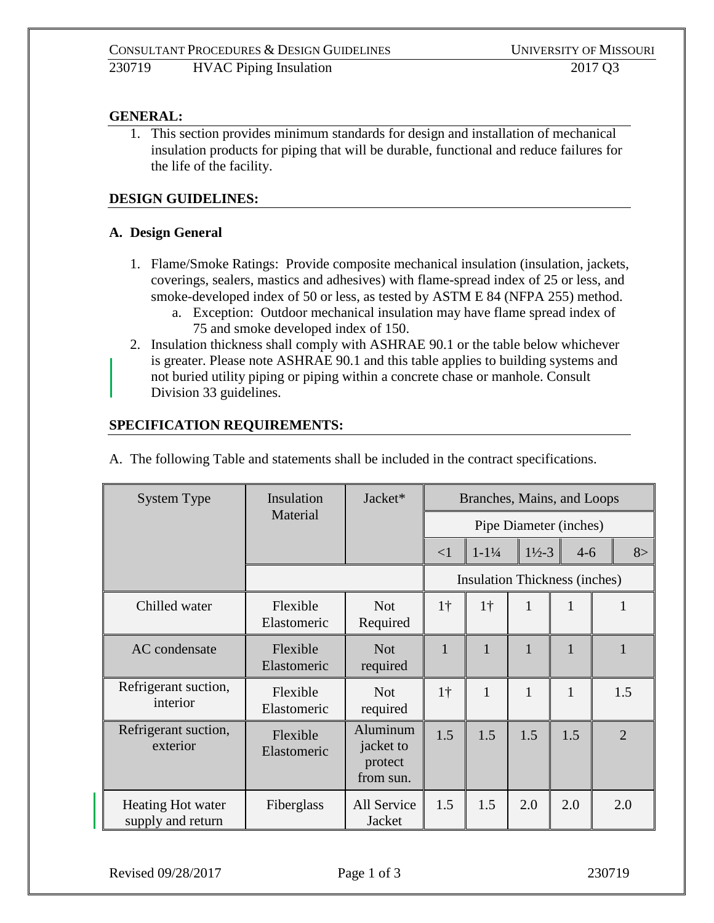# **GENERAL:**

1. This section provides minimum standards for design and installation of mechanical insulation products for piping that will be durable, functional and reduce failures for the life of the facility.

### **DESIGN GUIDELINES:**

#### **A. Design General**

- 1. Flame/Smoke Ratings: Provide composite mechanical insulation (insulation, jackets, coverings, sealers, mastics and adhesives) with flame-spread index of 25 or less, and smoke-developed index of 50 or less, as tested by ASTM E 84 (NFPA 255) method.
	- a. Exception: Outdoor mechanical insulation may have flame spread index of 75 and smoke developed index of 150.
- 2. Insulation thickness shall comply with ASHRAE 90.1 or the table below whichever is greater. Please note ASHRAE 90.1 and this table applies to building systems and not buried utility piping or piping within a concrete chase or manhole. Consult Division 33 guidelines.

#### **SPECIFICATION REQUIREMENTS:**

| System Type                            | Insulation<br>Material  | Jacket*                                       | Branches, Mains, and Loops    |                    |                    |         |                |
|----------------------------------------|-------------------------|-----------------------------------------------|-------------------------------|--------------------|--------------------|---------|----------------|
|                                        |                         |                                               | Pipe Diameter (inches)        |                    |                    |         |                |
|                                        |                         |                                               | <1                            | $1 - 1\frac{1}{4}$ | $1\frac{1}{2} - 3$ | $4 - 6$ | 8>             |
|                                        |                         |                                               | Insulation Thickness (inches) |                    |                    |         |                |
| Chilled water                          | Flexible<br>Elastomeric | <b>Not</b><br>Required                        | 1 <sup>†</sup>                | $1\dagger$         | $\mathbf{1}$       | 1       | 1              |
| AC condensate                          | Flexible<br>Elastomeric | <b>Not</b><br>required                        | $\mathbf{1}$                  | $\mathbf{1}$       | $\mathbf{1}$       | 1       |                |
| Refrigerant suction,<br>interior       | Flexible<br>Elastomeric | <b>Not</b><br>required                        | 1 <sup>†</sup>                | $\mathbf{1}$       | $\mathbf{1}$       | 1       | 1.5            |
| Refrigerant suction,<br>exterior       | Flexible<br>Elastomeric | Aluminum<br>jacket to<br>protect<br>from sun. | 1.5                           | 1.5                | 1.5                | 1.5     | $\overline{2}$ |
| Heating Hot water<br>supply and return | Fiberglass              | All Service<br>Jacket                         | 1.5                           | 1.5                | 2.0                | 2.0     | 2.0            |

A. The following Table and statements shall be included in the contract specifications.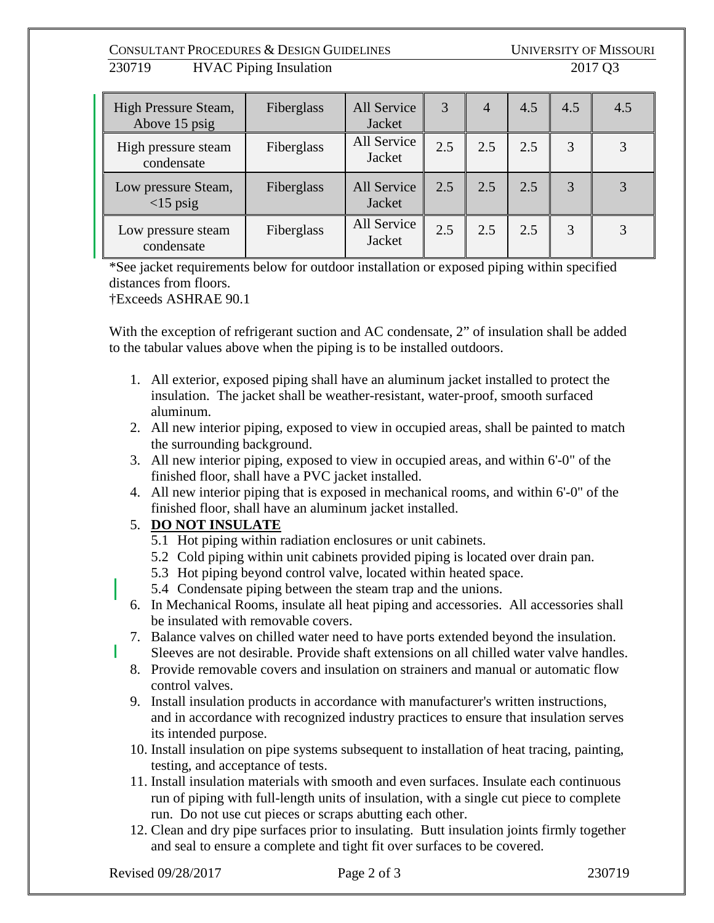## CONSULTANT PROCEDURES & DESIGN GUIDELINES UNIVERSITY OF MISSOURI  $\overline{230719}$  HVAC Piping Insulation

|  | 1 |  |  |
|--|---|--|--|
|--|---|--|--|

| High Pressure Steam,<br>Above 15 psig            | Fiberglass | All Service<br>Jacket | 3   | $\overline{4}$ | 4.5 | 4.5 | 4.5 |
|--------------------------------------------------|------------|-----------------------|-----|----------------|-----|-----|-----|
| High pressure steam<br>condensate                | Fiberglass | All Service<br>Jacket | 2.5 | 2.5            | 2.5 |     |     |
| Low pressure Steam,<br>$\langle 15 \rangle$ psig | Fiberglass | All Service<br>Jacket | 2.5 | 2.5            | 2.5 |     |     |
| Low pressure steam<br>condensate                 | Fiberglass | All Service<br>Jacket | 2.5 | 2.5            | 2.5 |     |     |

\*See jacket requirements below for outdoor installation or exposed piping within specified distances from floors.

†Exceeds ASHRAE 90.1

With the exception of refrigerant suction and AC condensate, 2" of insulation shall be added to the tabular values above when the piping is to be installed outdoors.

- 1. All exterior, exposed piping shall have an aluminum jacket installed to protect the insulation. The jacket shall be weather-resistant, water-proof, smooth surfaced aluminum.
- 2. All new interior piping, exposed to view in occupied areas, shall be painted to match the surrounding background.
- 3. All new interior piping, exposed to view in occupied areas, and within 6'-0" of the finished floor, shall have a PVC jacket installed.
- 4. All new interior piping that is exposed in mechanical rooms, and within 6'-0" of the finished floor, shall have an aluminum jacket installed.

# 5. **DO NOT INSULATE**

- 5.1 Hot piping within radiation enclosures or unit cabinets.
- 5.2 Cold piping within unit cabinets provided piping is located over drain pan.
- 5.3 Hot piping beyond control valve, located within heated space.
- 5.4 Condensate piping between the steam trap and the unions.
- 6. In Mechanical Rooms, insulate all heat piping and accessories. All accessories shall be insulated with removable covers.
- 7. Balance valves on chilled water need to have ports extended beyond the insulation. Sleeves are not desirable. Provide shaft extensions on all chilled water valve handles.
- 8. Provide removable covers and insulation on strainers and manual or automatic flow control valves.
- 9. Install insulation products in accordance with manufacturer's written instructions, and in accordance with recognized industry practices to ensure that insulation serves its intended purpose.
- 10. Install insulation on pipe systems subsequent to installation of heat tracing, painting, testing, and acceptance of tests.
- 11. Install insulation materials with smooth and even surfaces. Insulate each continuous run of piping with full-length units of insulation, with a single cut piece to complete run. Do not use cut pieces or scraps abutting each other.
- 12. Clean and dry pipe surfaces prior to insulating. Butt insulation joints firmly together and seal to ensure a complete and tight fit over surfaces to be covered.